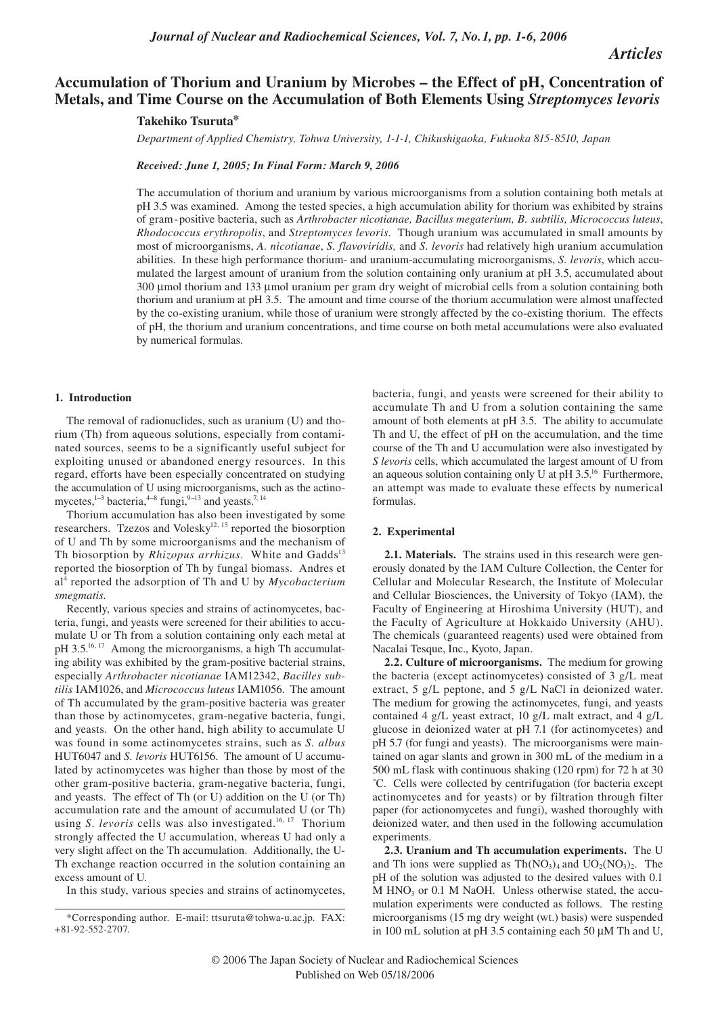*Articles*

# **Accumulation of Thorium and Uranium by Microbes – the Effect of pH, Concentration of Metals, and Time Course on the Accumulation of Both Elements Using** *Streptomyces levoris*

## **Takehiko Tsuruta\***

*Department of Applied Chemistry, Tohwa University, 1-1-1, Chikushigaoka, Fukuoka 815-8510, Japan*

*Received: June 1, 2005; In Final Form: March 9, 2006*

The accumulation of thorium and uranium by various microorganisms from a solution containing both metals at pH 3.5 was examined. Among the tested species, a high accumulation ability for thorium was exhibited by strains of gram-positive bacteria, such as *Arthrobacter nicotianae, Bacillus megaterium, B. subtilis, Micrococcus luteus*, *Rhodococcus erythropolis*, and *Streptomyces levoris*. Though uranium was accumulated in small amounts by most of microorganisms, *A. nicotianae*, *S. flavoviridis,* and *S. levoris* had relatively high uranium accumulation abilities. In these high performance thorium- and uranium-accumulating microorganisms, *S. levoris*, which accumulated the largest amount of uranium from the solution containing only uranium at pH 3.5, accumulated about 300 µmol thorium and 133 µmol uranium per gram dry weight of microbial cells from a solution containing both thorium and uranium at pH 3.5. The amount and time course of the thorium accumulation were almost unaffected by the co-existing uranium, while those of uranium were strongly affected by the co-existing thorium. The effects of pH, the thorium and uranium concentrations, and time course on both metal accumulations were also evaluated by numerical formulas.

#### **1. Introduction**

The removal of radionuclides, such as uranium (U) and thorium (Th) from aqueous solutions, especially from contaminated sources, seems to be a significantly useful subject for exploiting unused or abandoned energy resources. In this regard, efforts have been especially concentrated on studying the accumulation of U using microorganisms, such as the actinomycetes,<sup>1-3</sup> bacteria,<sup>4-8</sup> fungi,<sup>9-13</sup> and yeasts.<sup>7, 14</sup>

Thorium accumulation has also been investigated by some researchers. Tzezos and Volesky<sup>12, 15</sup> reported the biosorption of U and Th by some microorganisms and the mechanism of Th biosorption by *Rhizopus arrhizus*. White and Gadds<sup>13</sup> reported the biosorption of Th by fungal biomass. Andres et al4 reported the adsorption of Th and U by *Mycobacterium smegmatis.* 

Recently, various species and strains of actinomycetes, bacteria, fungi, and yeasts were screened for their abilities to accumulate U or Th from a solution containing only each metal at pH 3.5.<sup>16, 17</sup> Among the microorganisms, a high Th accumulating ability was exhibited by the gram-positive bacterial strains, especially *Arthrobacter nicotianae* IAM12342, *Bacilles subtilis* IAM1026, and *Micrococcus luteus* IAM1056. The amount of Th accumulated by the gram-positive bacteria was greater than those by actinomycetes, gram-negative bacteria, fungi, and yeasts. On the other hand, high ability to accumulate U was found in some actinomycetes strains, such as *S. albus* HUT6047 and *S. levoris* HUT6156. The amount of U accumulated by actinomycetes was higher than those by most of the other gram-positive bacteria, gram-negative bacteria, fungi, and yeasts. The effect of Th (or U) addition on the U (or Th) accumulation rate and the amount of accumulated U (or Th) using *S. levoris* cells was also investigated.<sup>16, 17</sup> Thorium strongly affected the U accumulation, whereas U had only a very slight affect on the Th accumulation. Additionally, the U-Th exchange reaction occurred in the solution containing an excess amount of U.

In this study, various species and strains of actinomycetes,

bacteria, fungi, and yeasts were screened for their ability to accumulate Th and U from a solution containing the same amount of both elements at pH 3.5. The ability to accumulate Th and U, the effect of pH on the accumulation, and the time course of the Th and U accumulation were also investigated by *S levoris* cells, which accumulated the largest amount of U from an aqueous solution containing only U at pH 3.5.16 Furthermore, an attempt was made to evaluate these effects by numerical formulas.

### **2. Experimental**

**2.1. Materials.** The strains used in this research were generously donated by the IAM Culture Collection, the Center for Cellular and Molecular Research, the Institute of Molecular and Cellular Biosciences, the University of Tokyo (IAM), the Faculty of Engineering at Hiroshima University (HUT), and the Faculty of Agriculture at Hokkaido University (AHU). The chemicals (guaranteed reagents) used were obtained from Nacalai Tesque, Inc., Kyoto, Japan.

**2.2. Culture of microorganisms.** The medium for growing the bacteria (except actinomycetes) consisted of 3 g/L meat extract, 5 g/L peptone, and 5 g/L NaCl in deionized water. The medium for growing the actinomycetes, fungi, and yeasts contained 4 g/L yeast extract, 10 g/L malt extract, and 4 g/L glucose in deionized water at pH 7.1 (for actinomycetes) and pH 5.7 (for fungi and yeasts). The microorganisms were maintained on agar slants and grown in 300 mL of the medium in a 500 mL flask with continuous shaking (120 rpm) for 72 h at 30 ˚C. Cells were collected by centrifugation (for bacteria except actinomycetes and for yeasts) or by filtration through filter paper (for actionomycetes and fungi), washed thoroughly with deionized water, and then used in the following accumulation experiments.

**2.3. Uranium and Th accumulation experiments.** The U and Th ions were supplied as  $Th(NO<sub>3</sub>)<sub>4</sub>$  and  $UO<sub>2</sub>(NO<sub>3</sub>)<sub>2</sub>$ . The pH of the solution was adjusted to the desired values with 0.1  $M$  HNO<sub>3</sub> or 0.1 M NaOH. Unless otherwise stated, the accumulation experiments were conducted as follows. The resting microorganisms (15 mg dry weight (wt.) basis) were suspended in 100 mL solution at pH 3.5 containing each 50 µM Th and U,

<sup>\*</sup>Corresponding author. E-mail: ttsuruta@tohwa-u.ac.jp. FAX: +81-92-552-2707.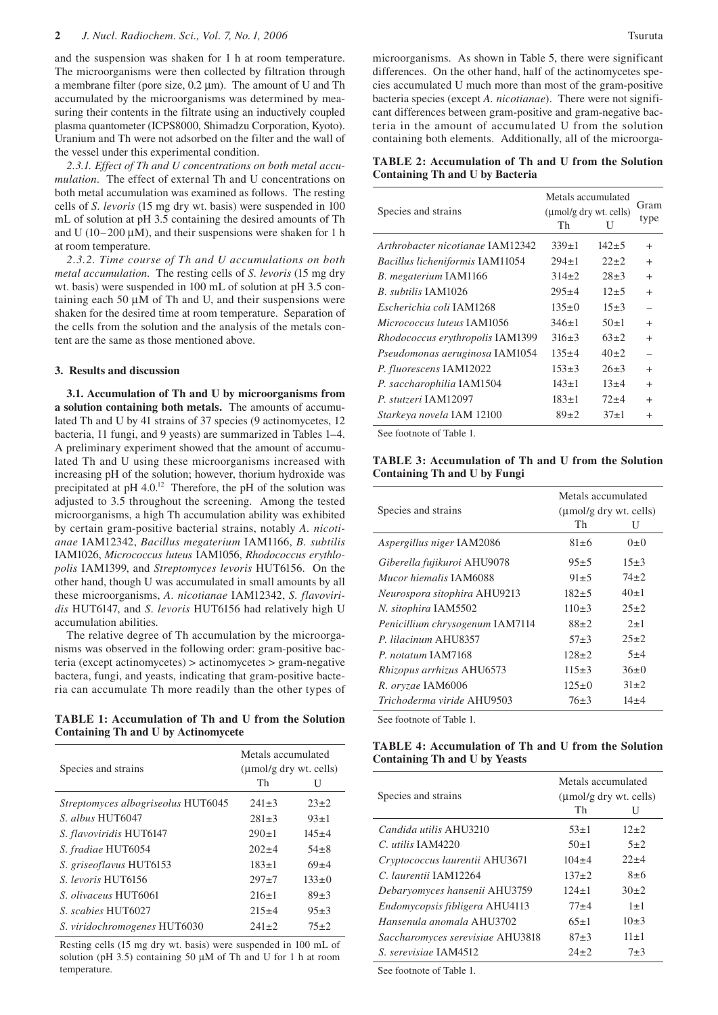and the suspension was shaken for 1 h at room temperature. The microorganisms were then collected by filtration through a membrane filter (pore size, 0.2 µm). The amount of U and Th accumulated by the microorganisms was determined by measuring their contents in the filtrate using an inductively coupled plasma quantometer (ICPS8000, Shimadzu Corporation, Kyoto). Uranium and Th were not adsorbed on the filter and the wall of the vessel under this experimental condition.

*2.3.1. Effect of Th and U concentrations on both metal accumulation.* The effect of external Th and U concentrations on both metal accumulation was examined as follows. The resting cells of *S. levoris* (15 mg dry wt. basis) were suspended in 100 mL of solution at pH 3.5 containing the desired amounts of Th and U (10–200  $\mu$ M), and their suspensions were shaken for 1 h at room temperature.

*2.3.2. Time course of Th and U accumulations on both metal accumulation*. The resting cells of *S. levoris* (15 mg dry wt. basis) were suspended in 100 mL of solution at pH 3.5 containing each 50  $\mu$ M of Th and U, and their suspensions were shaken for the desired time at room temperature. Separation of the cells from the solution and the analysis of the metals content are the same as those mentioned above.

### **3. Results and discussion**

**3.1. Accumulation of Th and U by microorganisms from a solution containing both metals.** The amounts of accumulated Th and U by 41 strains of 37 species (9 actinomycetes, 12 bacteria, 11 fungi, and 9 yeasts) are summarized in Tables 1–4. A preliminary experiment showed that the amount of accumulated Th and U using these microorganisms increased with increasing pH of the solution; however, thorium hydroxide was precipitated at pH 4.0.<sup>12</sup> Therefore, the pH of the solution was adjusted to 3.5 throughout the screening. Among the tested microorganisms, a high Th accumulation ability was exhibited by certain gram-positive bacterial strains, notably *A. nicotianae* IAM12342, *Bacillus megaterium* IAM1166, *B. subtilis* IAM1026, *Micrococcus luteus* IAM1056, *Rhodococcus erythlopolis* IAM1399, and *Streptomyces levoris* HUT6156. On the other hand, though U was accumulated in small amounts by all these microorganisms, *A. nicotianae* IAM12342, *S. flavoviridis* HUT6147, and *S. levoris* HUT6156 had relatively high U accumulation abilities.

The relative degree of Th accumulation by the microorganisms was observed in the following order: gram-positive bacteria (except actinomycetes) > actinomycetes > gram-negative bactera, fungi, and yeasts, indicating that gram-positive bacteria can accumulate Th more readily than the other types of

**TABLE 1: Accumulation of Th and U from the Solution Containing Th and U by Actinomycete**

| Species and strains                | Metals accumulated<br>$(\mu \text{mol/g} \text{ dry wt.} \text{ cells})$ |             |  |  |
|------------------------------------|--------------------------------------------------------------------------|-------------|--|--|
|                                    | Th                                                                       | U           |  |  |
| Streptomyces albogriseolus HUT6045 | $241 \pm 3$                                                              | $23+2$      |  |  |
| S. albus HUT6047                   | $281 \pm 3$                                                              | $93+1$      |  |  |
| S. flavoviridis HUT6147            | $290 \pm 1$                                                              | $145 + 4$   |  |  |
| S. fradiae HUT6054                 | $202+4$                                                                  | $54\pm8$    |  |  |
| S. griseoflavus HUT6153            | $183+1$                                                                  | $69 + 4$    |  |  |
| S. levoris HUT6156                 | $297+7$                                                                  | $133 \pm 0$ |  |  |
| S. <i>olivaceus</i> HUT6061        | $216+1$                                                                  | $89+3$      |  |  |
| S. scabies HUT6027                 | $215+4$                                                                  | $95+3$      |  |  |
| S. viridochromogenes HUT6030       | $241+2$                                                                  | $75 + 2$    |  |  |

Resting cells (15 mg dry wt. basis) were suspended in 100 mL of solution (pH 3.5) containing 50  $\mu$ M of Th and U for 1 h at room temperature.

microorganisms. As shown in Table 5, there were significant differences. On the other hand, half of the actinomycetes species accumulated U much more than most of the gram-positive bacteria species (except *A. nicotianae*). There were not significant differences between gram-positive and gram-negative bacteria in the amount of accumulated U from the solution containing both elements. Additionally, all of the microorga-

**TABLE 2: Accumulation of Th and U from the Solution Containing Th and U by Bacteria**

|                                        | Metals accumulated | Gram                   |           |  |
|----------------------------------------|--------------------|------------------------|-----------|--|
| Species and strains                    |                    | (umol/g dry wt. cells) |           |  |
|                                        | Th                 |                        | type      |  |
| Arthrobacter nicotianae IAM12342       | $339 \pm 1$        | $142 + 5$              | $\div$    |  |
| <b>Bacillus licheniformis IAM11054</b> | $294 \pm 1$        | $22+2$                 | $\ddot{}$ |  |
| B. megaterium IAM1166                  | $314\pm2$          | $28 \pm 3$             | $^{+}$    |  |
| B. subtilis IAM1026                    | $295 \pm 4$        | $12+5$                 | $\ddot{}$ |  |
| Escherichia coli IAM1268               | $135 \pm 0$        | $15+3$                 |           |  |
| <i>Micrococcus luteus</i> IAM1056      | $346 \pm 1$        | $50\pm1$               | $^{+}$    |  |
| Rhodococcus erythropolis IAM1399       | $316+3$            | $63+2$                 | $+$       |  |
| Pseudomonas aeruginosa IAM1054         | $135 \pm 4$        | $40+2$                 |           |  |
| P. fluorescens IAM12022                | $153 \pm 3$        | $26 \pm 3$             | $\ddot{}$ |  |
| P. saccharophilia IAM1504              | $143 \pm 1$        | $13+4$                 | $^{+}$    |  |
| P. stutzeri IAM12097                   | $183 \pm 1$        | $72+4$                 | $^{+}$    |  |
| Starkeya novela IAM 12100              | $89+2$             | $37+1$                 | $\ddot{}$ |  |

See footnote of Table 1.

**TABLE 3: Accumulation of Th and U from the Solution Containing Th and U by Fungi**

|                                      | Metals accumulated                                 |          |  |  |
|--------------------------------------|----------------------------------------------------|----------|--|--|
| Species and strains                  | $(\mu \text{mol/g} \text{ dry wt.} \text{ cells})$ |          |  |  |
|                                      | Th                                                 | U        |  |  |
| Aspergillus niger IAM2086            | $81 \pm 6$                                         | $0\pm 0$ |  |  |
| Giberella fujikuroi AHU9078          | $95+5$                                             | $15+3$   |  |  |
| <i>Mucor hiemalis</i> <b>JAM6088</b> | $91 \pm 5$                                         | $74 + 2$ |  |  |
| Neurospora sitophira AHU9213         | $182 + 5$                                          | $40\pm1$ |  |  |
| N. sitophira IAM5502                 | $110+3$                                            | $25+2$   |  |  |
| Penicillium chrysogenum IAM7114      | $88+2$                                             | $2+1$    |  |  |
| P. lilacinum AHU8357                 | $57 + 3$                                           | $25+2$   |  |  |
| P. notatum IAM7168                   | $128 \pm 2$                                        | $5 + 4$  |  |  |
| <i>Rhizopus arrhizus</i> AHU6573     | $115 \pm 3$                                        | 36±0     |  |  |
| R. oryzae IAM6006                    | $125 \pm 0$                                        | $31 + 2$ |  |  |
| <i>Trichoderma viride</i> AHU9503    | $76+3$                                             | $14 + 4$ |  |  |

See footnote of Table 1.

## **TABLE 4: Accumulation of Th and U from the Solution Containing Th and U by Yeasts**

| Species and strains              | Metals accumulated<br>$(\mu \text{mol/g} \text{ dry wt.} \text{ cells})$ |          |  |  |
|----------------------------------|--------------------------------------------------------------------------|----------|--|--|
|                                  | Th                                                                       | H        |  |  |
| Candida utilis AHU3210           | $53+1$                                                                   | $12+2$   |  |  |
| $C_{\rm t}$ utilis IAM4220       | $50+1$                                                                   | $5 + 2$  |  |  |
| Cryptococcus laurentii AHU3671   | $104 + 4$                                                                | $22+4$   |  |  |
| C. laurentii IAM12264            | $137 + 2$                                                                | $8\pm 6$ |  |  |
| Debaryomyces hansenii AHU3759    | $124+1$                                                                  | $30+2$   |  |  |
| Endomycopsis fibligera AHU4113   | $77 + 4$                                                                 | $1\pm1$  |  |  |
| Hansenula anomala AHU3702        | $65+1$                                                                   | $10\pm3$ |  |  |
| Saccharomyces serevisiae AHU3818 | $87 + 3$                                                                 | $11+1$   |  |  |
| S. serevisiae JAM4512            | $24 + 2$                                                                 | $7 + 3$  |  |  |

See footnote of Table 1.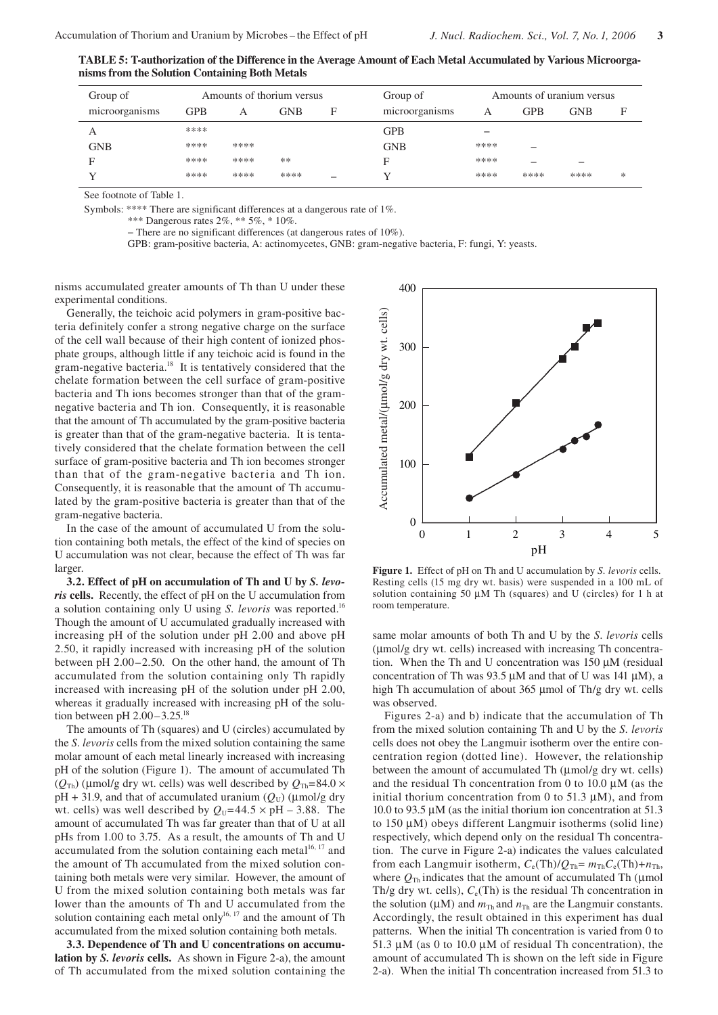**TABLE 5: T-authorization of the Difference in the Average Amount of Each Metal Accumulated by Various Microorganisms from the Solution Containing Both Metals**

| Group of       |      |      | Amounts of thorium versus |   | Group of       |      |      | Amounts of uranium versus |   |
|----------------|------|------|---------------------------|---|----------------|------|------|---------------------------|---|
| microorganisms | GPB  | A    | <b>GNB</b>                | F | microorganisms | Α    | GPB  | $_{\rm GNB}$              | F |
| А              | **** |      |                           |   | <b>GPB</b>     | -    |      |                           |   |
| GNB            | **** | **** |                           |   | <b>GNB</b>     | **** | -    |                           |   |
| Е              | **** | **** | **                        |   | F              | **** | -    | -                         |   |
|                | **** | **** | ****                      | - |                | **** | **** | ****                      | * |

See footnote of Table 1.

Symbols: \*\*\*\* There are significant differences at a dangerous rate of 1%.

\*\*\* Dangerous rates 2%, \*\* 5%, \* 10%.

− There are no significant differences (at dangerous rates of 10%).

GPB: gram-positive bacteria, A: actinomycetes, GNB: gram-negative bacteria, F: fungi, Y: yeasts.

nisms accumulated greater amounts of Th than U under these experimental conditions.

Generally, the teichoic acid polymers in gram-positive bacteria definitely confer a strong negative charge on the surface of the cell wall because of their high content of ionized phosphate groups, although little if any teichoic acid is found in the gram-negative bacteria.18 It is tentatively considered that the chelate formation between the cell surface of gram-positive bacteria and Th ions becomes stronger than that of the gramnegative bacteria and Th ion. Consequently, it is reasonable that the amount of Th accumulated by the gram-positive bacteria is greater than that of the gram-negative bacteria. It is tentatively considered that the chelate formation between the cell surface of gram-positive bacteria and Th ion becomes stronger than that of the gram-negative bacteria and Th ion. Consequently, it is reasonable that the amount of Th accumulated by the gram-positive bacteria is greater than that of the gram-negative bacteria.

In the case of the amount of accumulated U from the solution containing both metals, the effect of the kind of species on U accumulation was not clear, because the effect of Th was far larger.

**3.2. Effect of pH on accumulation of Th and U by** *S. levoris* **cells.** Recently, the effect of pH on the U accumulation from a solution containing only U using *S. levoris* was reported.16 Though the amount of U accumulated gradually increased with increasing pH of the solution under pH 2.00 and above pH 2.50, it rapidly increased with increasing pH of the solution between pH 2.00–2.50. On the other hand, the amount of Th accumulated from the solution containing only Th rapidly increased with increasing pH of the solution under pH 2.00, whereas it gradually increased with increasing pH of the solution between pH 2.00–3.25.18

The amounts of Th (squares) and U (circles) accumulated by the *S*. *levoris* cells from the mixed solution containing the same molar amount of each metal linearly increased with increasing pH of the solution (Figure 1). The amount of accumulated Th  $(Q_{\text{Th}})$  (µmol/g dry wt. cells) was well described by  $Q_{\text{Th}}=84.0 \times$  $pH + 31.9$ , and that of accumulated uranium ( $Q_U$ ) ( $\mu$ mol/g dry wt. cells) was well described by  $Q_U$ =44.5  $\times$  pH – 3.88. The amount of accumulated Th was far greater than that of U at all pHs from 1.00 to 3.75. As a result, the amounts of Th and U accumulated from the solution containing each metal<sup>16, 17</sup> and the amount of Th accumulated from the mixed solution containing both metals were very similar. However, the amount of U from the mixed solution containing both metals was far lower than the amounts of Th and U accumulated from the solution containing each metal only<sup>16, 17</sup> and the amount of Th accumulated from the mixed solution containing both metals.

**3.3. Dependence of Th and U concentrations on accumulation by** *S. levoris* **cells.** As shown in Figure 2-a), the amount of Th accumulated from the mixed solution containing the



**Figure 1.** Effect of pH on Th and U accumulation by *S. levoris* cells. Resting cells (15 mg dry wt. basis) were suspended in a 100 mL of solution containing 50 µM Th (squares) and U (circles) for 1 h at room temperature.

same molar amounts of both Th and U by the *S*. *levoris* cells (µmol/g dry wt. cells) increased with increasing Th concentration. When the Th and U concentration was 150 µM (residual concentration of Th was 93.5  $\mu$ M and that of U was 141  $\mu$ M), a high Th accumulation of about 365 µmol of Th/g dry wt. cells was observed.

Figures 2-a) and b) indicate that the accumulation of Th from the mixed solution containing Th and U by the *S. levoris* cells does not obey the Langmuir isotherm over the entire concentration region (dotted line). However, the relationship between the amount of accumulated Th ( $\mu$ mol/g dry wt. cells) and the residual Th concentration from 0 to 10.0  $\mu$ M (as the initial thorium concentration from 0 to 51.3  $\mu$ M), and from 10.0 to 93.5 µM (as the initial thorium ion concentration at 51.3 to 150 µM) obeys different Langmuir isotherms (solid line) respectively, which depend only on the residual Th concentration. The curve in Figure 2-a) indicates the values calculated from each Langmuir isotherm,  $C_e(\text{Th})/Q_{\text{Th}} = m_{\text{Th}}C_e(\text{Th}) + n_{\text{Th}}$ , where  $Q_{\text{Th}}$  indicates that the amount of accumulated Th ( $\mu$ mol Th/g dry wt. cells),  $C_e$ (Th) is the residual Th concentration in the solution ( $\mu$ M) and  $m_{Th}$  and  $n_{Th}$  are the Langmuir constants. Accordingly, the result obtained in this experiment has dual patterns. When the initial Th concentration is varied from 0 to 51.3  $\mu$ M (as 0 to 10.0  $\mu$ M of residual Th concentration), the amount of accumulated Th is shown on the left side in Figure 2-a). When the initial Th concentration increased from 51.3 to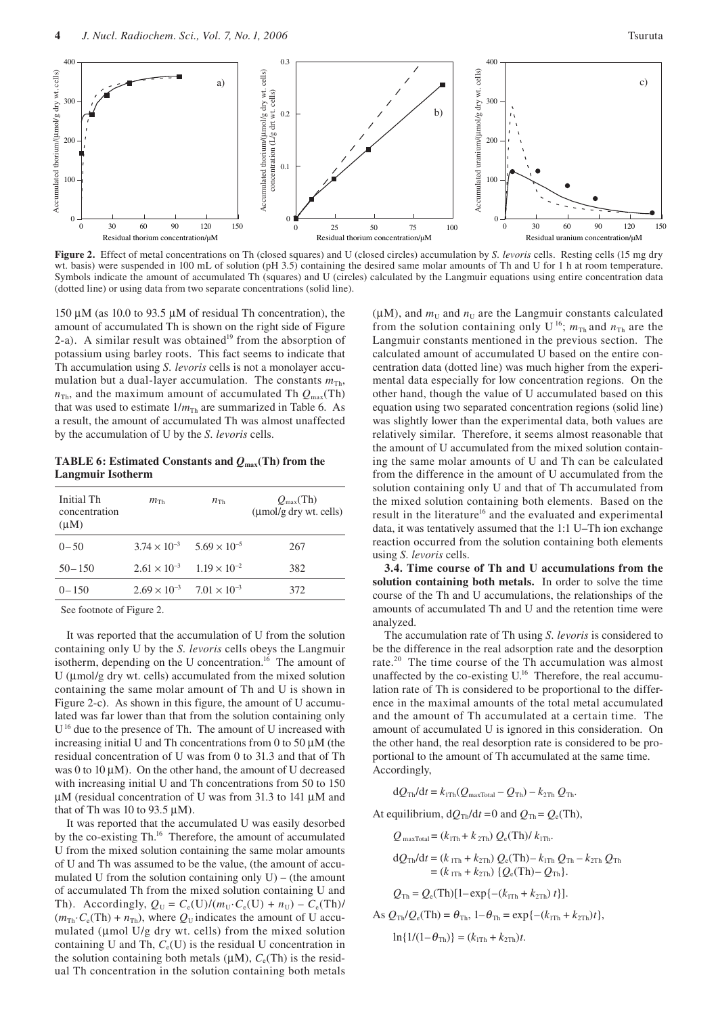

**Figure 2.** Effect of metal concentrations on Th (closed squares) and U (closed circles) accumulation by *S. levoris* cells.Resting cells (15 mg dry wt. basis) were suspended in 100 mL of solution (pH 3.5) containing the desired same molar amounts of Th and U for 1 h at room temperature. Symbols indicate the amount of accumulated Th (squares) and U (circles) calculated by the Langmuir equations using entire concentration data (dotted line) or using data from two separate concentrations (solid line).

150 µM (as 10.0 to 93.5 µM of residual Th concentration), the amount of accumulated Th is shown on the right side of Figure 2-a). A similar result was obtained<sup>19</sup> from the absorption of potassium using barley roots. This fact seems to indicate that Th accumulation using *S. levoris* cells is not a monolayer accumulation but a dual-layer accumulation. The constants  $m_{\text{Th}}$ ,  $n_{\text{Th}}$ , and the maximum amount of accumulated Th  $Q_{\text{max}}(\text{Th})$ that was used to estimate  $1/m_{\text{Th}}$  are summarized in Table 6. As a result, the amount of accumulated Th was almost unaffected by the accumulation of U by the *S. levoris* cells.

**TABLE 6: Estimated Constants and** *Q***max(Th) from the Langmuir Isotherm**

| Initial Th<br>concentration<br>$(\mu M)$ | $m_{\text{Th}}$                             | $n_{\text{Th}}$                             | $Q_{\text{max}}(Th)$<br>$\mu$ mol/g dry wt. cells) |
|------------------------------------------|---------------------------------------------|---------------------------------------------|----------------------------------------------------|
| $0 - 50$                                 |                                             | $3.74 \times 10^{-3}$ $5.69 \times 10^{-5}$ | 267                                                |
| $50 - 150$                               | $2.61 \times 10^{-3}$ $1.19 \times 10^{-2}$ |                                             | 382                                                |
| $0 - 150$                                | $2.69 \times 10^{-3}$ $7.01 \times 10^{-3}$ |                                             | 372                                                |
|                                          |                                             |                                             |                                                    |

See footnote of Figure 2.

It was reported that the accumulation of U from the solution containing only U by the *S. levoris* cells obeys the Langmuir isotherm, depending on the U concentration.<sup>16</sup> The amount of U (µmol/g dry wt. cells) accumulated from the mixed solution containing the same molar amount of Th and U is shown in Figure 2-c). As shown in this figure, the amount of U accumulated was far lower than that from the solution containing only U<sup>16</sup> due to the presence of Th. The amount of U increased with increasing initial U and Th concentrations from 0 to 50  $\mu$ M (the residual concentration of U was from 0 to 31.3 and that of Th was 0 to 10  $\mu$ M). On the other hand, the amount of U decreased with increasing initial U and Th concentrations from 50 to 150  $\mu$ M (residual concentration of U was from 31.3 to 141  $\mu$ M and that of Th was 10 to 93.5  $\mu$ M).

It was reported that the accumulated U was easily desorbed by the co-existing Th.<sup>16</sup> Therefore, the amount of accumulated U from the mixed solution containing the same molar amounts of U and Th was assumed to be the value, (the amount of accumulated U from the solution containing only  $U$ ) – (the amount of accumulated Th from the mixed solution containing U and Th). Accordingly,  $Q_U = C_e(U)/(m_U \cdot C_e(U) + n_U) - C_e(Th)/$  $(m_{\text{Th}} \cdot C_e(\text{Th}) + n_{\text{Th}})$ , where  $Q_U$  indicates the amount of U accumulated (µmol U/g dry wt. cells) from the mixed solution containing U and Th,  $C_e(U)$  is the residual U concentration in the solution containing both metals  $(\mu M)$ ,  $C_e(Th)$  is the residual Th concentration in the solution containing both metals

( $\mu$ M), and  $m_U$  and  $n_U$  are the Langmuir constants calculated from the solution containing only U<sup>16</sup>;  $m_{\text{Th}}$  and  $n_{\text{Th}}$  are the Langmuir constants mentioned in the previous section. The calculated amount of accumulated U based on the entire concentration data (dotted line) was much higher from the experimental data especially for low concentration regions. On the other hand, though the value of U accumulated based on this equation using two separated concentration regions (solid line) was slightly lower than the experimental data, both values are relatively similar. Therefore, it seems almost reasonable that the amount of U accumulated from the mixed solution containing the same molar amounts of U and Th can be calculated from the difference in the amount of U accumulated from the solution containing only U and that of Th accumulated from the mixed solution containing both elements. Based on the result in the literature<sup>16</sup> and the evaluated and experimental data, it was tentatively assumed that the 1:1 U–Th ion exchange reaction occurred from the solution containing both elements using *S. levoris* cells.

**3.4. Time course of Th and U accumulations from the solution containing both metals.** In order to solve the time course of the Th and U accumulations, the relationships of the amounts of accumulated Th and U and the retention time were analyzed.

The accumulation rate of Th using *S. levoris* is considered to be the difference in the real adsorption rate and the desorption rate.<sup>20</sup> The time course of the Th accumulation was almost unaffected by the co-existing U.<sup>16</sup> Therefore, the real accumulation rate of Th is considered to be proportional to the difference in the maximal amounts of the total metal accumulated and the amount of Th accumulated at a certain time. The amount of accumulated U is ignored in this consideration. On the other hand, the real desorption rate is considered to be proportional to the amount of Th accumulated at the same time. Accordingly,

 $dQ_{\text{Th}}/dt = k_{1\text{Th}}(Q_{\text{maxTotal}} - Q_{\text{Th}}) - k_{2\text{Th}} Q_{\text{Th}}.$ 

At equilibrium,  $dQ_{Th}/dt = 0$  and  $Q_{Th} = Q_e(Th)$ ,

$$
Q_{\text{maxTotal}} = (k_{1\text{Th}} + k_{2\text{Th}}) Q_{\text{e}}(\text{Th}) / k_{1\text{Th}}.
$$
  
\n
$$
dQ_{\text{Th}} / dt = (k_{1\text{Th}} + k_{2\text{Th}}) Q_{\text{e}}(\text{Th}) - k_{1\text{Th}} Q_{\text{Th}} - k_{2\text{Th}} Q_{\text{Th}} = (k_{1\text{Th}} + k_{2\text{Th}}) {Q_{\text{e}}(\text{Th}) - Q_{\text{Th}} }.
$$

$$
Q_{\text{Th}} = Q_{\text{e}}(\text{Th})[1 - \exp\{-(k_{1\text{Th}} + k_{2\text{Th}}) t\}].
$$

As  $Q_{\text{Th}}/Q_{\text{e}}(\text{Th}) = \theta_{\text{Th}}$ ,  $1-\theta_{\text{Th}} = \exp\{-(k_{1\text{Th}} + k_{2\text{Th}})t\}$ ,

$$
\ln\{1/(1-\theta_{\text{Th}})\} = (k_{1\text{Th}} + k_{2\text{Th}})t.
$$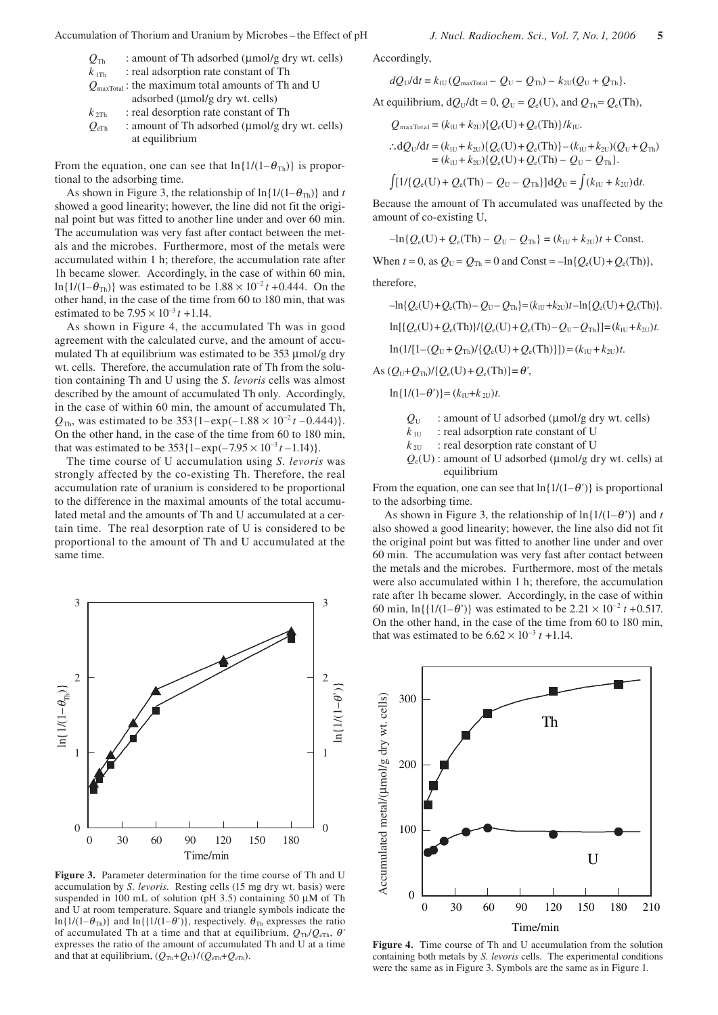: amount of Th adsorbed ( $\mu$ mol/g dry wt. cells) at equilibrium

From the equation, one can see that  $\ln\{1/(1-\theta_{\text{Th}})\}\$ is proportional to the adsorbing time.

As shown in Figure 3, the relationship of  $\ln\{1/(1-\theta_{\text{Th}})\}\$  and *t* showed a good linearity; however, the line did not fit the original point but was fitted to another line under and over 60 min. The accumulation was very fast after contact between the metals and the microbes. Furthermore, most of the metals were accumulated within 1 h; therefore, the accumulation rate after 1h became slower. Accordingly, in the case of within 60 min, ln{1/(1– $\theta_{\text{Th}}$ )} was estimated to be 1.88 × 10<sup>-2</sup> *t* +0.444. On the other hand, in the case of the time from 60 to 180 min, that was estimated to be 7.95 × 10<sup>−</sup><sup>3</sup>*t +*1.14.

As shown in Figure 4, the accumulated Th was in good agreement with the calculated curve, and the amount of accumulated Th at equilibrium was estimated to be 353 µmol/g dry wt. cells. Therefore, the accumulation rate of Th from the solution containing Th and U using the *S. levoris* cells was almost described by the amount of accumulated Th only. Accordingly, in the case of within 60 min, the amount of accumulated Th,  $Q_{\text{Th}}$ , was estimated to be 353{1–exp(–1.88 × 10<sup>-2</sup>*t* –0.444)}. On the other hand, in the case of the time from 60 to 180 min, that was estimated to be  $353{1-exp(-7.95 \times 10^{-3} t - 1.14)}$ .

The time course of U accumulation using *S. levoris* was strongly affected by the co-existing Th. Therefore, the real accumulation rate of uranium is considered to be proportional to the difference in the maximal amounts of the total accumulated metal and the amounts of Th and U accumulated at a certain time. The real desorption rate of U is considered to be proportional to the amount of Th and U accumulated at the same time.



**Figure 3.** Parameter determination for the time course of Th and U accumulation by *S. levoris*. Resting cells (15 mg dry wt. basis) were suspended in 100 mL of solution (pH 3.5) containing 50  $\mu$ M of Th and U at room temperature. Square and triangle symbols indicate the ln{1/(1– $\theta_{Th}$ )} and ln{{1/(1– $\theta'$ )}, respectively.  $\theta_{Th}$  expresses the ratio of accumulated Th at a time and that at equilibrium,  $Q_{\text{Th}}/Q_{\text{eTh}}$ ,  $\theta$ <sup>'</sup> expresses the ratio of the amount of accumulated Th and U at a time and that at equilibrium,  $(Q_{Th} + Q_U)/(Q_{eTh} + Q_{eTh})$ .

Accordingly,

$$
dQ_{\mathrm{U}}/dt = k_{\mathrm{IU}}(Q_{\mathrm{maxTotal}} - Q_{\mathrm{U}} - Q_{\mathrm{Th}}) - k_{\mathrm{2U}}(Q_{\mathrm{U}} + Q_{\mathrm{Th}}).
$$

At equilibrium,  $dQ_U/dt = 0$ ,  $Q_U = Q_e(U)$ , and  $Q_{Th} = Q_e(Th)$ ,

 $Q_{\text{maxTotal}} = (k_{\text{1U}} + k_{\text{2U}}) \{Q_{\text{e}}(U) + Q_{\text{e}}(Th)\}/k_{\text{1U}}.$ 

$$
\therefore dQ_U/dt = (k_{IU} + k_{2U})\{Q_e(U) + Q_e(Th)\} - (k_{IU} + k_{2U})(Q_U + Q_{Th})
$$
  
=  $(k_{IU} + k_{2U})\{Q_e(U) + Q_e(Th) - Q_U - Q_{Th}\}.$ 

$$
\int [1/(Q_{\rm e}(\mathbf{U}) + Q_{\rm e}(\mathbf{Th}) - Q_{\rm U} - Q_{\rm Th})] \, \mathrm{d}Q_{\rm U} = \int (k_{\rm iU} + k_{\rm 2U}) \, \mathrm{d}t.
$$

Because the amount of Th accumulated was unaffected by the amount of co-existing U,

$$
-\ln\{Q_e(U) + Q_e(Th) - Q_U - Q_{Th}\} = (k_{1U} + k_{2U})t + \text{Const.}
$$

When  $t = 0$ , as  $Q_U = Q_{Th} = 0$  and Const =  $-\ln{Q_e(U)} + Q_e(Th)$ ,

therefore,

$$
-\ln\{Q_e(U) + Q_e(Th) - Q_U - Q_{Th}\} = (k_{IU} + k_{ZU})t - \ln\{Q_e(U) + Q_e(Th)\}.
$$
  

$$
\ln[\{Q_e(U) + Q_e(Th)\}/\{Q_e(U) + Q_e(Th) - Q_U - Q_{Th}\}] = (k_{IU} + k_{ZU})t.
$$
  

$$
\ln(1/[1 - (Q_U + Q_{Th})/\{Q_e(U) + Q_e(Th)\}]) = (k_{IU} + k_{ZU})t.
$$

 $As (Q_U + Q_{Th})/{Q_e(U) + Q_e(Th)} = \theta'$ ,

$$
\ln\{1/(1-\theta')\} = (k_{\text{1U}} + k_{\text{2U}})t.
$$

 $Q_{\text{U}}$  : amount of U adsorbed ( $\mu$ mol/g dry wt. cells)

 $k_{\text{IU}}$  : real adsorption rate constant of U

 $k_{\text{2U}}$  : real desorption rate constant of U

 $Q_e(U)$ : amount of U adsorbed ( $\mu$ mol/g dry wt. cells) at equilibrium

From the equation, one can see that  $\ln\{1/(1-\theta^{\prime})\}$  is proportional to the adsorbing time.

As shown in Figure 3, the relationship of  $\ln\{1/(1-\theta^{\prime})\}$  and *t* also showed a good linearity; however, the line also did not fit the original point but was fitted to another line under and over 60 min. The accumulation was very fast after contact between the metals and the microbes. Furthermore, most of the metals were also accumulated within 1 h; therefore, the accumulation rate after 1h became slower. Accordingly, in the case of within 60 min,  $\ln({1/(1-\theta)})$  was estimated to be  $2.21 \times 10^{-2} t + 0.517$ . On the other hand, in the case of the time from 60 to 180 min, that was estimated to be  $6.62 \times 10^{-3} t + 1.14$ .



**Figure 4.** Time course of Th and U accumulation from the solution containing both metals by *S. levoris* cells.The experimental conditions were the same as in Figure 3. Symbols are the same as in Figure 1.